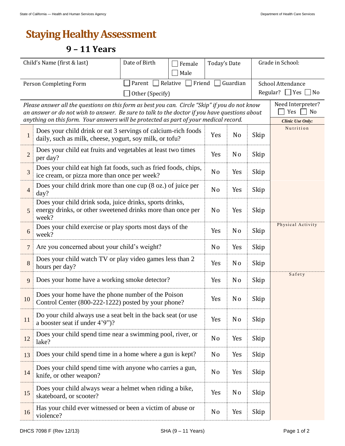## **Staying Healthy Assessment**

## **9 – 11 Years**

| Child's Name (first & last)                                                                                                                                                                                       |                                                                                                                                  | Date of Birth<br>Female                             |                | Today's Date   |                   | Grade in School: |        |  |  |
|-------------------------------------------------------------------------------------------------------------------------------------------------------------------------------------------------------------------|----------------------------------------------------------------------------------------------------------------------------------|-----------------------------------------------------|----------------|----------------|-------------------|------------------|--------|--|--|
|                                                                                                                                                                                                                   |                                                                                                                                  | Male                                                |                |                |                   |                  |        |  |  |
| Person Completing Form                                                                                                                                                                                            |                                                                                                                                  | Relative Friend $\Box$<br>Guardian<br>Parent $\Box$ |                |                | School Attendance |                  |        |  |  |
|                                                                                                                                                                                                                   | Regular?<br>$\Box$ Yes $\Box$<br>$ $ No<br>Other (Specify)                                                                       |                                                     |                |                |                   |                  |        |  |  |
| Please answer all the questions on this form as best you can. Circle "Skip" if you do not know                                                                                                                    | Need Interpreter?<br>Yes<br>No                                                                                                   |                                                     |                |                |                   |                  |        |  |  |
| an answer or do not wish to answer. Be sure to talk to the doctor if you have questions about<br>anything on this form. Your answers will be protected as part of your medical record.<br><b>Clinic Use Only:</b> |                                                                                                                                  |                                                     |                |                |                   |                  |        |  |  |
| 1                                                                                                                                                                                                                 | Does your child drink or eat 3 servings of calcium-rich foods<br>daily, such as milk, cheese, yogurt, soy milk, or tofu?         | Yes                                                 | No             | Skip           | Nutrition         |                  |        |  |  |
| $\overline{2}$                                                                                                                                                                                                    | Does your child eat fruits and vegetables at least two times<br>per day?                                                         | Yes                                                 | N <sub>0</sub> | Skip           |                   |                  |        |  |  |
| $\overline{3}$                                                                                                                                                                                                    | Does your child eat high fat foods, such as fried foods, chips,<br>ice cream, or pizza more than once per week?                  | N <sub>o</sub>                                      | Yes            | Skip           |                   |                  |        |  |  |
| $\overline{4}$                                                                                                                                                                                                    | Does your child drink more than one cup (8 oz.) of juice per<br>day?                                                             | N <sub>o</sub>                                      | Yes            | Skip           |                   |                  |        |  |  |
| 5                                                                                                                                                                                                                 | Does your child drink soda, juice drinks, sports drinks,<br>energy drinks, or other sweetened drinks more than once per<br>week? | N <sub>0</sub>                                      | Yes            | Skip           |                   |                  |        |  |  |
| 6                                                                                                                                                                                                                 | Does your child exercise or play sports most days of the<br>week?                                                                | Yes                                                 | N <sub>0</sub> | Skip           | Physical Activity |                  |        |  |  |
| $\overline{7}$                                                                                                                                                                                                    | Are you concerned about your child's weight?                                                                                     | N <sub>o</sub>                                      | Yes            | Skip           |                   |                  |        |  |  |
| 8                                                                                                                                                                                                                 | Does your child watch TV or play video games less than 2<br>hours per day?                                                       | Yes                                                 | N <sub>0</sub> | Skip           |                   |                  |        |  |  |
| 9                                                                                                                                                                                                                 | Does your home have a working smoke detector?                                                                                    |                                                     |                | Yes            | N <sub>o</sub>    | Skip             | Safety |  |  |
| 10                                                                                                                                                                                                                | Does your home have the phone number of the Poison<br>Control Center (800-222-1222) posted by your phone?                        |                                                     |                | Yes            | N <sub>0</sub>    | Skip             |        |  |  |
| 11                                                                                                                                                                                                                | Do your child always use a seat belt in the back seat (or use<br>a booster seat if under 4'9")?                                  | Yes                                                 | N <sub>o</sub> | Skip           |                   |                  |        |  |  |
| 12                                                                                                                                                                                                                | Does your child spend time near a swimming pool, river, or<br>lake?                                                              | N <sub>o</sub>                                      | Yes            | Skip           |                   |                  |        |  |  |
| 13                                                                                                                                                                                                                | Does your child spend time in a home where a gun is kept?                                                                        | N <sub>o</sub>                                      | Yes            | Skip           |                   |                  |        |  |  |
| 14                                                                                                                                                                                                                | Does your child spend time with anyone who carries a gun,<br>knife, or other weapon?                                             | N <sub>0</sub>                                      | Yes            | Skip           |                   |                  |        |  |  |
| 15                                                                                                                                                                                                                | Does your child always wear a helmet when riding a bike,<br>skateboard, or scooter?                                              |                                                     | Yes            | N <sub>0</sub> | Skip              |                  |        |  |  |
| 16                                                                                                                                                                                                                | Has your child ever witnessed or been a victim of abuse or<br>violence?                                                          |                                                     | N <sub>o</sub> | Yes            | Skip              |                  |        |  |  |